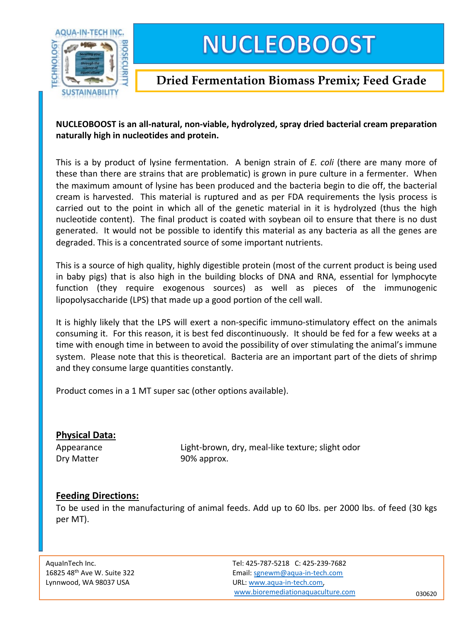

# **NUCLEOBOOST**

## **Dried Fermentation Biomass Premix; Feed Grade**

### **NUCLEOBOOST is an all-natural, non-viable, hydrolyzed, spray dried bacterial cream preparation naturally high in nucleotides and protein.**

This is a by product of lysine fermentation. A benign strain of *E. coli* (there are many more of these than there are strains that are problematic) is grown in pure culture in a fermenter. When the maximum amount of lysine has been produced and the bacteria begin to die off, the bacterial cream is harvested. This material is ruptured and as per FDA requirements the lysis process is carried out to the point in which all of the genetic material in it is hydrolyzed (thus the high nucleotide content). The final product is coated with soybean oil to ensure that there is no dust generated. It would not be possible to identify this material as any bacteria as all the genes are degraded. This is a concentrated source of some important nutrients.

This is a source of high quality, highly digestible protein (most of the current product is being used in baby pigs) that is also high in the building blocks of DNA and RNA, essential for lymphocyte function (they require exogenous sources) as well as pieces of the immunogenic lipopolysaccharide (LPS) that made up a good portion of the cell wall.

It is highly likely that the LPS will exert a non-specific immuno-stimulatory effect on the animals consuming it. For this reason, it is best fed discontinuously. It should be fed for a few weeks at a time with enough time in between to avoid the possibility of over stimulating the animal's immune system. Please note that this is theoretical. Bacteria are an important part of the diets of shrimp and they consume large quantities constantly.

Product comes in a 1 MT super sac (other options available).

#### **Physical Data:**

Appearance Light-brown, dry, meal-like texture; slight odor Dry Matter 90% approx.

### **Feeding Directions:**

To be used in the manufacturing of animal feeds. [Add](http://aqua-in-tech.com) up to 60 lbs. per 2000 lbs. of feed (30 kgs per MT).

AquaInTech Inc. Tel: 425-787-5218 C: 425-239-7682 16825 48th Ave W. Suite 322 Email: sgnewm@aqua-in-tech.com Lynnwood, WA 98037 USA URL: www.aqua-in-tech.com, www.bioremediationaquaculture.com 030620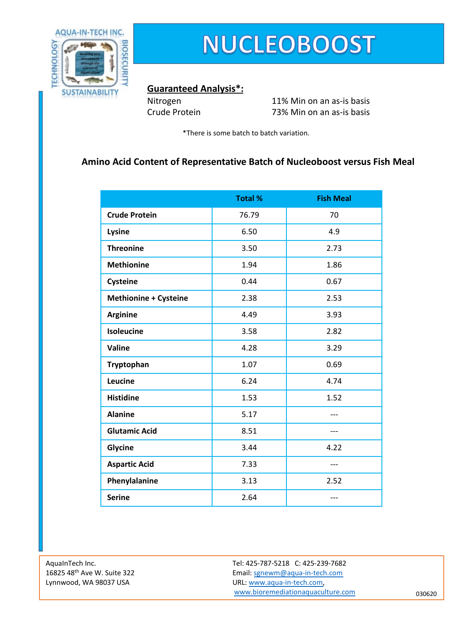

## **NUCLEOBOOST**

#### **Guaranteed Analysis\*:**

Nitrogen 11% Min on an as-is basis Crude Protein 73% Min on an as-is basis

\*There is some batch to batch variation.

### **Amino Acid Content of Representative Batch of Nucleoboost versus Fish Meal**

|                              | <b>Total %</b> | <b>Fish Meal</b> |
|------------------------------|----------------|------------------|
| <b>Crude Protein</b>         | 76.79          | 70               |
| Lysine                       | 6.50           | 4.9              |
| <b>Threonine</b>             | 3.50           | 2.73             |
| <b>Methionine</b>            | 1.94           | 1.86             |
| Cysteine                     | 0.44           | 0.67             |
| <b>Methionine + Cysteine</b> | 2.38           | 2.53             |
| <b>Arginine</b>              | 4.49           | 3.93             |
| Isoleucine                   | 3.58           | 2.82             |
| Valine                       | 4.28           | 3.29             |
| Tryptophan                   | 1.07           | 0.69             |
| Leucine                      | 6.24           | 4.74             |
| <b>Histidine</b>             | 1.53           | 1.52             |
| <b>Alanine</b>               | 5.17           |                  |
| <b>Glutamic Acid</b>         | 8.51           |                  |
| Glycine                      | 3.44           | 4.22             |
| <b>Aspartic Acid</b>         | 7.33           | ---              |
| Phenylalanine                | 3.13           | 2.52             |
| <b>Serine</b>                | 2.64           |                  |

AquaInTech Inc. Tel: 425-787-5218 C: 425-239-7682 16825 48<sup>th</sup> Ave W. Suite 322 **Email:** straining and straining straining and straining and straining straining straining straining straining straining straining straining straining straining straining straining straining s Lynnwood, WA 98037 USA URL: www.aqua-in-tech.com, www.bioremediationaquaculture.com 030620